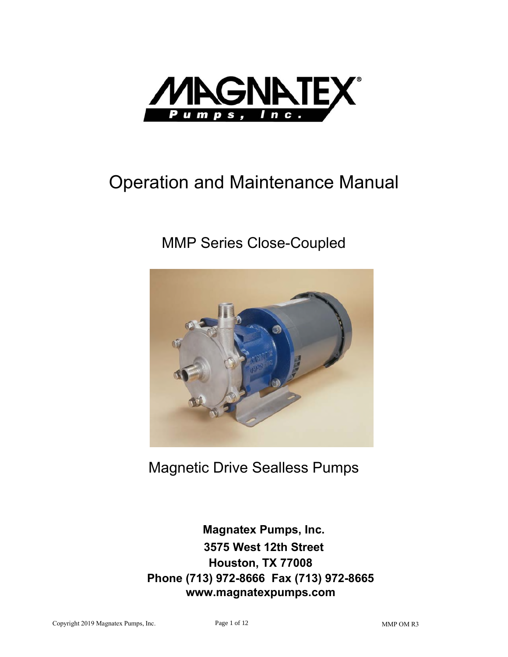

# **Operation and Maintenance Manual**

## **MMP Series Close-Coupled**



**Magnetic Drive Sealless Pumps** 

**Magnatex Pumps, Inc.** 3575 West 12th Street Houston, TX 77008 Phone (713) 972-8666 Fax (713) 972-8665 www.magnatexpumps.com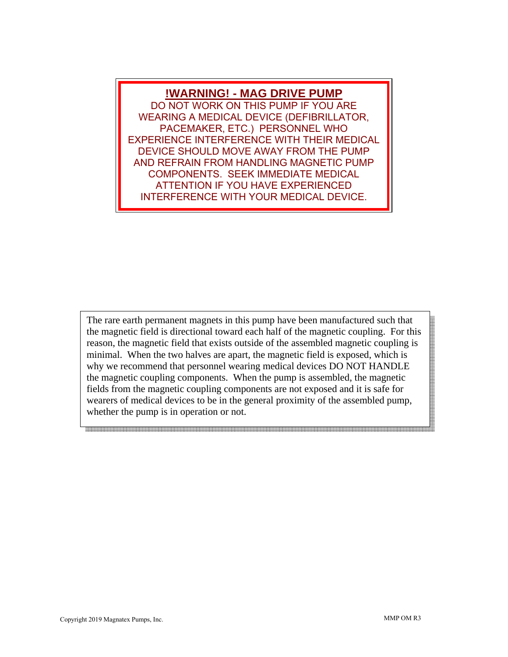#### **!WARNING! - MAG DRIVE PUMP**

DO NOT WORK ON THIS PUMP IF YOU ARE WEARING A MEDICAL DEVICE (DEFIBRILLATOR, PACEMAKER, ETC.) PERSONNEL WHO EXPERIENCE INTERFERENCE WITH THEIR MEDICAL DEVICE SHOULD MOVE AWAY FROM THE PUMP AND REFRAIN FROM HANDLING MAGNETIC PUMP COMPONENTS. SEEK IMMEDIATE MEDICAL ATTENTION IF YOU HAVE EXPERIENCED INTERFERENCE WITH YOUR MEDICAL DEVICE.

The rare earth permanent magnets in this pump have been manufactured such that the magnetic field is directional toward each half of the magnetic coupling. For this reason, the magnetic field that exists outside of the assembled magnetic coupling is minimal. When the two halves are apart, the magnetic field is exposed, which is why we recommend that personnel wearing medical devices DO NOT HANDLE the magnetic coupling components. When the pump is assembled, the magnetic fields from the magnetic coupling components are not exposed and it is safe for wearers of medical devices to be in the general proximity of the assembled pump, whether the pump is in operation or not.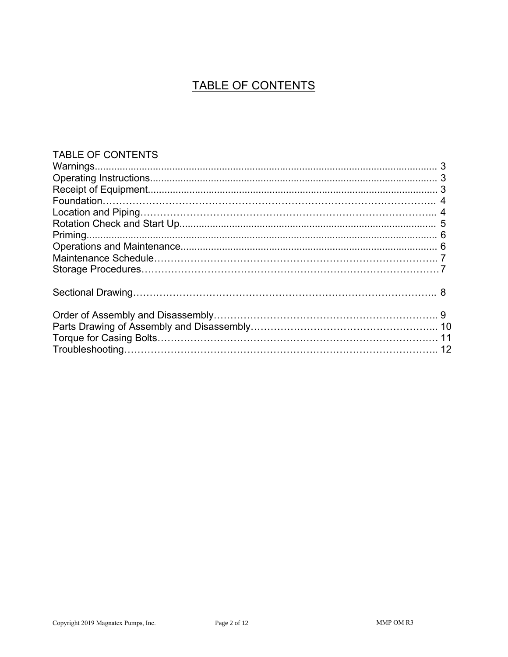### TABLE OF CONTENTS

#### TABLE OF CONTENTS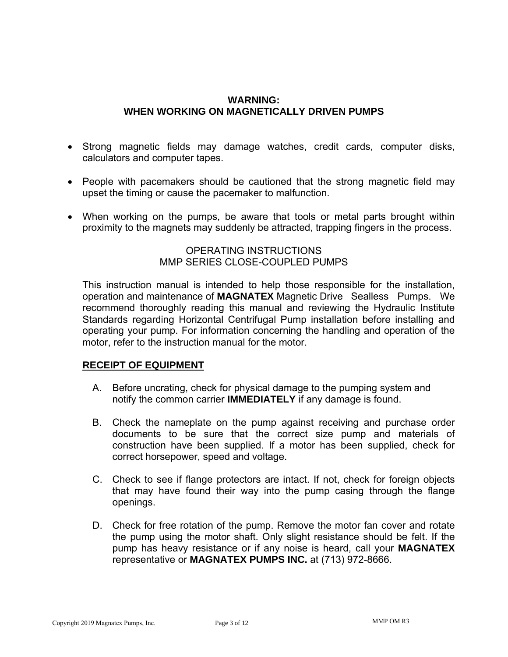#### **WARNING: WHEN WORKING ON MAGNETICALLY DRIVEN PUMPS**

- . Strong magnetic fields may damage watches, credit cards, computer disks, calculators and computer tapes.
- People with pacemakers should be cautioned that the strong magnetic field may upset the timing or cause the pacemaker to malfunction.
- . When working on the pumps, be aware that tools or metal parts brought within proximity to the magnets may suddenly be attracted, trapping fingers in the process.

OPERATING INSTRUCTIONS MMP SERIES CLOSE-COUPLED PUMPS

This instruction manual is intended to help those responsible for the installation, operation and maintenance of MAGNATEX Magnetic Drive Sealless Pumps. We recommend thoroughly reading this manual and reviewing the Hydraulic Institute Standards regarding Horizontal Centrifugal Pump installation before installing and operating your pump. For information concerning the handling and operation of the motor, refer to the instruction manual for the motor.

#### **RECEIPT OF EQUIPMENT**

- A. Before uncrating, check for physical damage to the pumping system and notify the common carrier **IMMEDIATELY** if any damage is found.
- B. Check the nameplate on the pump against receiving and purchase order documents to be sure that the correct size pump and materials of construction have been supplied. If a motor has been supplied, check for correct horsepower, speed and voltage.
- C. Check to see if flange protectors are intact. If not, check for foreign objects that may have found their way into the pump casing through the flange openings.
- D. Check for free rotation of the pump. Remove the motor fan cover and rotate the pump using the motor shaft. Only slight resistance should be felt. If the pump has heavy resistance or if any noise is heard, call your MAGNATEX representative or **MAGNATEX PUMPS INC.** at (713) 972-8666.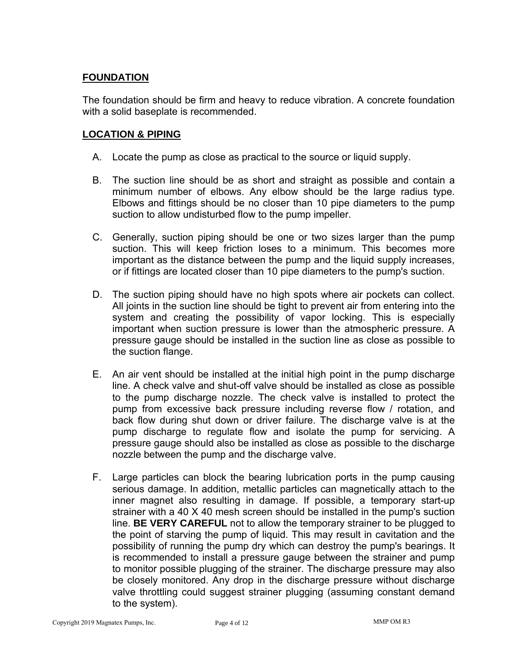#### **FOUNDATION**

The foundation should be firm and heavy to reduce vibration. A concrete foundation with a solid baseplate is recommended.

#### **LOCATION & PIPING**

- A. Locate the pump as close as practical to the source or liquid supply.
- B. The suction line should be as short and straight as possible and contain a minimum number of elbows. Any elbow should be the large radius type. Elbows and fittings should be no closer than 10 pipe diameters to the pump suction to allow undisturbed flow to the pump impeller.
- $\,C.\,$  Generally, suction piping should be one or two sizes larger than the pump suction. This will keep friction loses to a minimum. This becomes more important as the distance between the pump and the liquid supply increases, or if fittings are located closer than 10 pipe diameters to the pump's suction.
- D. The suction piping should have no high spots where air pockets can collect. All joints in the suction line should be tight to prevent air from entering into the system and creating the possibility of vapor locking. This is especially important when suction pressure is lower than the atmospheric pressure. A pressure gauge should be installed in the suction line as close as possible to the suction flange.
- $E$ . An air vent should be installed at the initial high point in the pump discharge line. A check valve and shut-off valve should be installed as close as possible to the pump discharge nozzle. The check valve is installed to protect the pump from excessive back pressure including reverse flow  $\ell$  rotation, and back flow during shut down or driver failure. The discharge valve is at the pump discharge to regulate flow and isolate the pump for servicing. A pressure gauge should also be installed as close as possible to the discharge nozzle between the pump and the discharge valve.
- F. Large particles can block the bearing lubrication ports in the pump causing serious damage. In addition, metallic particles can magnetically attach to the inner magnet also resulting in damage. If possible, a temporary start-up strainer with a 40 X 40 mesh screen should be installed in the pump's suction line. **BE VERY CAREFUL** not to allow the temporary strainer to be plugged to the point of starving the pump of liquid. This may result in cavitation and the possibility of running the pump dry which can destroy the pump's bearings. It is recommended to install a pressure gauge between the strainer and pump to monitor possible plugging of the strainer. The discharge pressure may also be closely monitored. Any drop in the discharge pressure without discharge valve throttling could suggest strainer plugging (assuming constant demand to the system).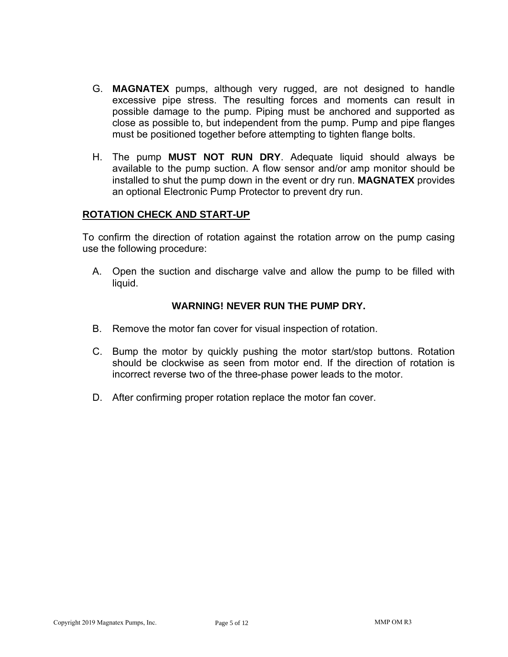- G. **MAGNATEX** pumps, although very rugged, are not designed to handle excessive pipe stress. The resulting forces and moments can result in possible damage to the pump. Piping must be anchored and supported as close as possible to, but independent from the pump. Pump and pipe flanges must be positioned together before attempting to tighten flange bolts.
- H. The pump **MUST NOT RUN DRY**. Adequate liquid should always be available to the pump suction. A flow sensor and/or amp monitor should be installed to shut the pump down in the event or dry run. **MAGNATEX** provides an optional Electronic Pump Protector to prevent dry run.

#### **ROTATION CHECK AND START-UP**

To confirm the direction of rotation against the rotation arrow on the pump casing use the following procedure:

A. Open the suction and discharge valve and allow the pump to be filled with liquid.

#### **WARNING! NEVER RUN THE PUMP DRY.**

- B. Remove the motor fan cover for visual inspection of rotation.
- C. Bump the motor by quickly pushing the motor start/stop buttons. Rotation should be clockwise as seen from motor end. If the direction of rotation is incorrect reverse two of the three-phase power leads to the motor.
- $\mathsf D$ . After confirming proper rotation replace the motor fan cover.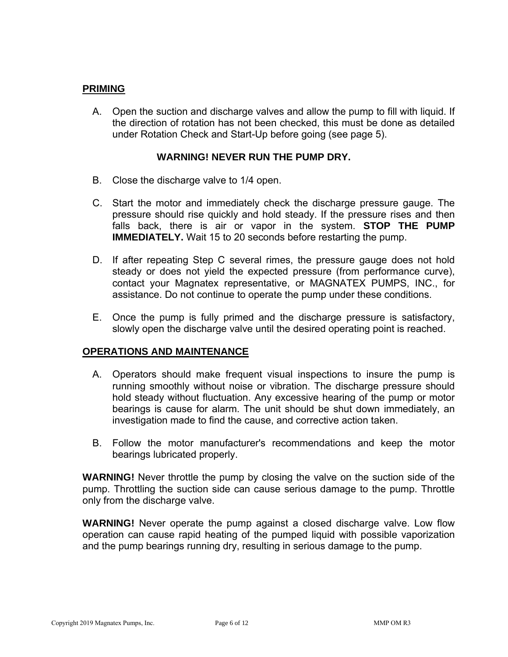#### **PRIMING**

A. Open the suction and discharge valves and allow the pump to fill with liquid. If the direction of rotation has not been checked, this must be done as detailed under Rotation Check and Start-Up before going (see page 5).

#### **WARNING! NEVER RUN THE PUMP DRY.**

- B. Close the discharge valve to  $1/4$  open.
- C. Start the motor and immediately check the discharge pressure gauge. The pressure should rise quickly and hold steady. If the pressure rises and then falls back, there is air or vapor in the system. **STOP THE PUMP IMMEDIATELY.** Wait 15 to 20 seconds before restarting the pump.
- D. If after repeating Step C several rimes, the pressure gauge does not hold steady or does not yield the expected pressure (from performance curve), contact your Magnatex representative, or MAGNATEX PUMPS, INC., for assistance. Do not continue to operate the pump under these conditions.
- E. Once the pump is fully primed and the discharge pressure is satisfactory, slowly open the discharge valve until the desired operating point is reached.

#### **OPERATIONS AND MAINTENANCE**

- A. Operators should make frequent visual inspections to insure the pump is running smoothly without noise or vibration. The discharge pressure should hold steady without fluctuation. Any excessive hearing of the pump or motor bearings is cause for alarm. The unit should be shut down immediately, an investigation made to find the cause, and corrective action taken.
- B. Follow the motor manufacturer's recommendations and keep the motor bearings lubricated properly.

**WARNING!** Never throttle the pump by closing the valve on the suction side of the pump. Throttling the suction side can cause serious damage to the pump. Throttle only from the discharge valve.

**WARNING!** Never operate the pump against a closed discharge valve. Low flow operation can cause rapid heating of the pumped liquid with possible vaporization and the pump bearings running dry, resulting in serious damage to the pump.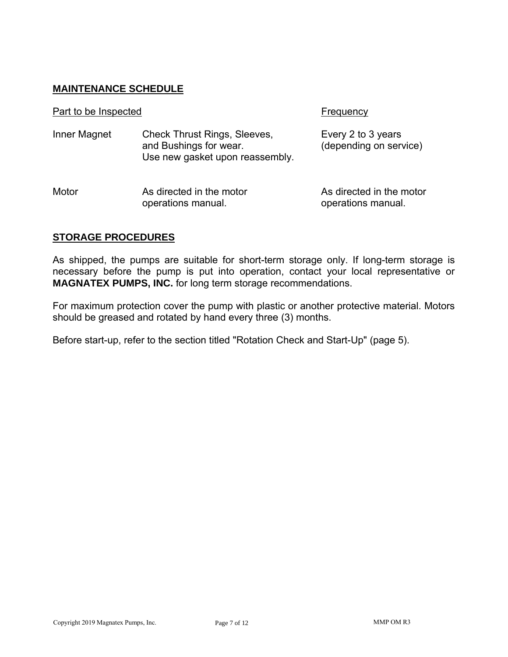#### **MAINTENANCE SCHEDULE**

| Part to be Inspected |                                                                                                  | Frequency                                      |
|----------------------|--------------------------------------------------------------------------------------------------|------------------------------------------------|
| Inner Magnet         | <b>Check Thrust Rings, Sleeves,</b><br>and Bushings for wear.<br>Use new gasket upon reassembly. | Every 2 to 3 years<br>(depending on service)   |
| Motor                | As directed in the motor<br>operations manual.                                                   | As directed in the motor<br>operations manual. |

#### **STORAGE PROCEDURES**

As shipped, the pumps are suitable for short-term storage only. If long-term storage is necessary before the pump is put into operation, contact your local representative or **MAGNATEX PUMPS, INC.** for long term storage recommendations.

For maximum protection cover the pump with plastic or another protective material. Motors should be greased and rotated by hand every three (3) months.

Before start-up, refer to the section titled "Rotation Check and Start-Up" (page 5).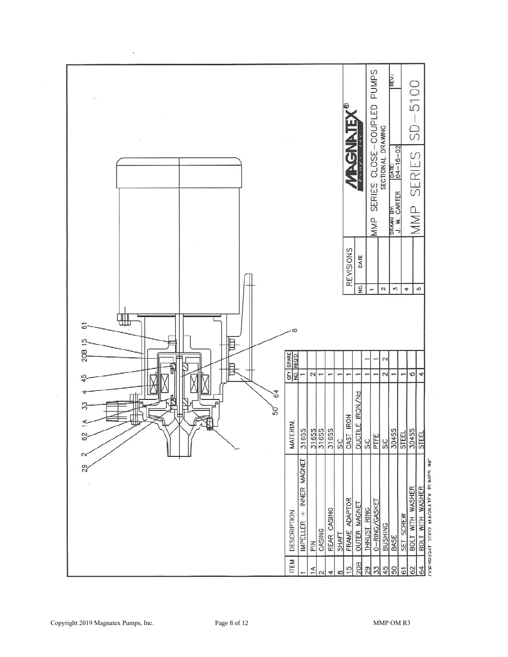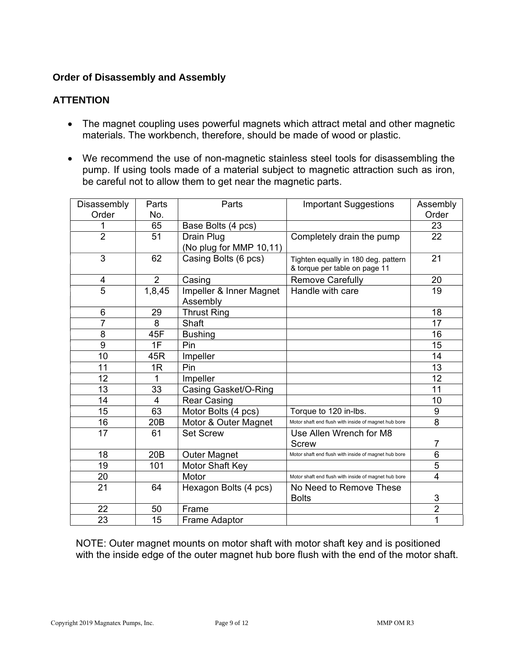#### **Order of Disassembly and Assembly**

#### **ATTENTION**

- The magnet coupling uses powerful magnets which attract metal and other magnetic materials. The workbench, therefore, should be made of wood or plastic.
- $\bullet$  We recommend the use of non-magnetic stainless steel tools for disassembling the pump. If using tools made of a material subject to magnetic attraction such as iron, be careful not to allow them to get near the magnetic parts.

| Disassembly    | Parts           | Parts                   | <b>Important Suggestions</b>                                         | Assembly       |
|----------------|-----------------|-------------------------|----------------------------------------------------------------------|----------------|
| Order          | No.             |                         |                                                                      | Order          |
| 1              | 65              | Base Bolts (4 pcs)      |                                                                      | 23             |
| $\overline{2}$ | 51              | Drain Plug              | Completely drain the pump                                            | 22             |
|                |                 | (No plug for MMP 10,11) |                                                                      |                |
| 3              | 62              | Casing Bolts (6 pcs)    | Tighten equally in 180 deg. pattern<br>& torque per table on page 11 | 21             |
| 4              | $\overline{2}$  | Casing                  | <b>Remove Carefully</b>                                              | 20             |
| $\overline{5}$ | 1,8,45          | Impeller & Inner Magnet | Handle with care                                                     | 19             |
|                |                 | Assembly                |                                                                      |                |
| 6              | 29              | <b>Thrust Ring</b>      |                                                                      | 18             |
| $\overline{7}$ | 8               | Shaft                   |                                                                      | 17             |
| 8              | 45F             | <b>Bushing</b>          |                                                                      | 16             |
| 9              | 1F              | Pin                     |                                                                      | 15             |
| 10             | 45R             | Impeller                |                                                                      | 14             |
| 11             | 1R              | Pin                     |                                                                      | 13             |
| 12             | 1               | Impeller                |                                                                      | 12             |
| 13             | 33              | Casing Gasket/O-Ring    |                                                                      | 11             |
| 14             | 4               | <b>Rear Casing</b>      |                                                                      | 10             |
| 15             | 63              | Motor Bolts (4 pcs)     | Torque to 120 in-lbs.                                                | 9              |
| 16             | 20 <sub>B</sub> | Motor & Outer Magnet    | Motor shaft end flush with inside of magnet hub bore                 | 8              |
| 17             | 61              | <b>Set Screw</b>        | Use Allen Wrench for M8                                              |                |
|                |                 |                         | <b>Screw</b>                                                         | $\overline{7}$ |
| 18             | 20 <sub>B</sub> | <b>Outer Magnet</b>     | Motor shaft end flush with inside of magnet hub bore                 | 6              |
| 19             | 101             | Motor Shaft Key         |                                                                      | 5              |
| 20             |                 | Motor                   | Motor shaft end flush with inside of magnet hub bore                 | $\overline{4}$ |
| 21             | 64              | Hexagon Bolts (4 pcs)   | No Need to Remove These                                              |                |
|                |                 |                         | <b>Bolts</b>                                                         | $\sqrt{3}$     |
| 22             | 50              | Frame                   |                                                                      | $\overline{2}$ |
| 23             | 15              | <b>Frame Adaptor</b>    |                                                                      | 1              |

NOTE: Outer magnet mounts on motor shaft with motor shaft key and is positioned with the inside edge of the outer magnet hub bore flush with the end of the motor shaft.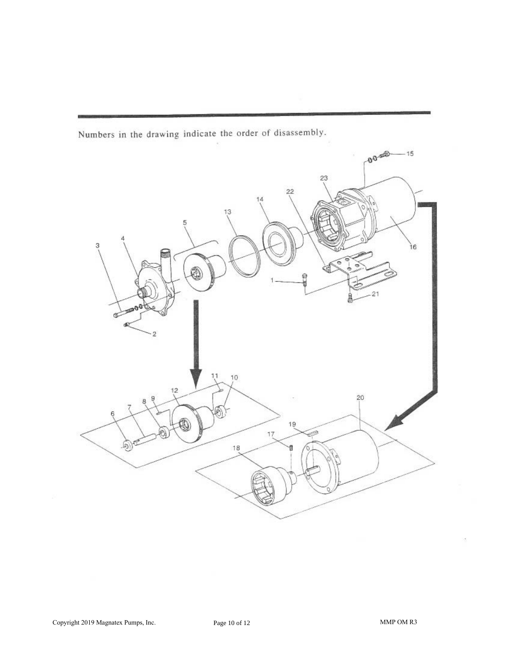Numbers in the drawing indicate the order of disassembly.

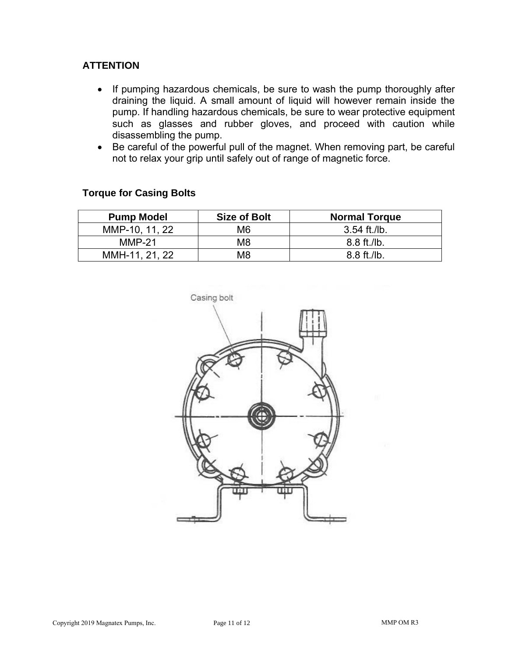#### **ATTENTION**

- $\bullet$  If pumping hazardous chemicals, be sure to wash the pump thoroughly after draining the liquid. A small amount of liquid will however remain inside the pump. If handling hazardous chemicals, be sure to wear protective equipment such as glasses and rubber gloves, and proceed with caution while disassembling the pump.
- Be careful of the powerful pull of the magnet. When removing part, be careful not to relax your grip until safely out of range of magnetic force.

| <b>Pump Model</b> | <b>Size of Bolt</b> | <b>Normal Torque</b>   |
|-------------------|---------------------|------------------------|
| MMP-10, 11, 22    | M6                  | 3.54 ft./lb.           |
| $MMP-21$          | M8                  | $8.8 \text{ ft}$ ./lb. |
| MMH-11, 21, 22    | M8                  | $8.8 \text{ ft}$ ./lb. |

#### **Torque for Casing Bolts**